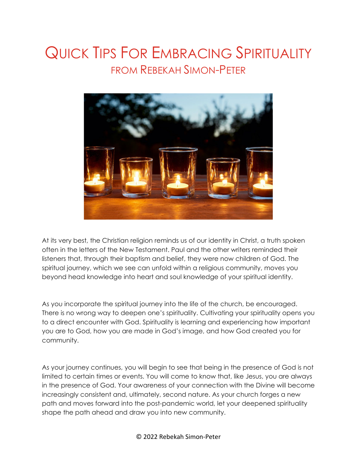## QUICK TIPS FOR EMBRACING SPIRITUALITY FROM REBEKAH SIMON-PETER



At its very best, the Christian religion reminds us of our identity in Christ, a truth spoken often in the letters of the New Testament. Paul and the other writers reminded their listeners that, through their baptism and belief, they were now children of God. The spiritual journey, which we see can unfold within a religious community, moves you beyond head knowledge into heart and soul knowledge of your spiritual identity.

As you incorporate the spiritual journey into the life of the church, be encouraged. There is no wrong way to deepen one's spirituality. Cultivating your spirituality opens you to a direct encounter with God. Spirituality is learning and experiencing how important you are to God, how you are made in God's image, and how God created you for community.

As your journey continues, you will begin to see that being in the presence of God is not limited to certain times or events. You will come to know that, like Jesus, you are always in the presence of God. Your awareness of your connection with the Divine will become increasingly consistent and, ultimately, second nature. As your church forges a new path and moves forward into the post-pandemic world, let your deepened spirituality shape the path ahead and draw you into new community.